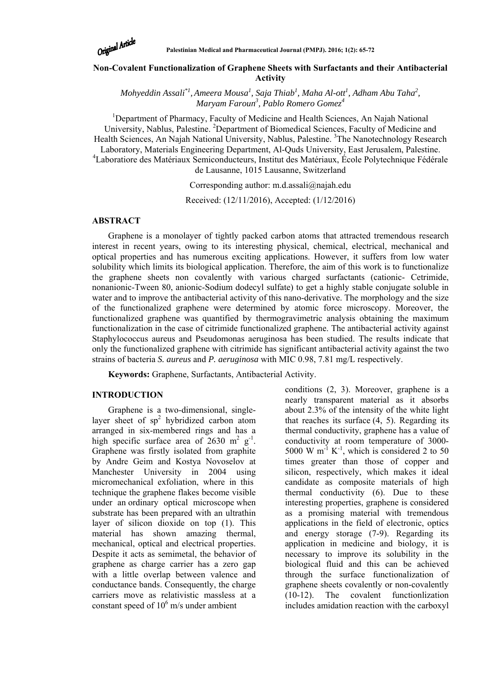

# **Non-Covalent Functionalization of Graphene Sheets with Surfactants and their Antibacterial Activity**

*Mohyeddin Assali\*1, Ameera Mousa<sup>1</sup> , Saja Thiab<sup>1</sup> , Maha Al-ott1 , Adham Abu Taha<sup>2</sup> , Maryam Faroun3 , Pablo Romero Gomez<sup>4</sup>*

<sup>1</sup>Department of Pharmacy, Faculty of Medicine and Health Sciences, An Najah National University, Nablus, Palestine. <sup>2</sup>Department of Biomedical Sciences, Faculty of Medicine and Health Sciences, An Najah National University, Nablus, Palestine.<sup>3</sup>The Nanotechnology Research Laboratory, Materials Engineering Department, Al-Quds University, East Jerusalem, Palestine. 4 Laboratiore des Matériaux Semiconducteurs, Institut des Matériaux, École Polytechnique Fédérale de Lausanne, 1015 Lausanne, Switzerland

Corresponding author: m.d.assali@najah.edu

Received: (12/11/2016), Accepted: (1/12/2016)

## **ABSTRACT**

Graphene is a monolayer of tightly packed carbon atoms that attracted tremendous research interest in recent years, owing to its interesting physical, chemical, electrical, mechanical and optical properties and has numerous exciting applications. However, it suffers from low water solubility which limits its biological application. Therefore, the aim of this work is to functionalize the graphene sheets non covalently with various charged surfactants (cationic- Cetrimide, nonanionic-Tween 80, anionic-Sodium dodecyl sulfate) to get a highly stable conjugate soluble in water and to improve the antibacterial activity of this nano-derivative. The morphology and the size of the functionalized graphene were determined by atomic force microscopy. Moreover, the functionalized graphene was quantified by thermogravimetric analysis obtaining the maximum functionalization in the case of citrimide functionalized graphene. The antibacterial activity against Staphylococcus aureus and Pseudomonas aeruginosa has been studied. The results indicate that only the functionalized graphene with citrimide has significant antibacterial activity against the two strains of bacteria *S. aureus* and *P. aeruginosa* with MIC 0.98, 7.81 mg/L respectively.

**Keywords:** Graphene, Surfactants, Antibacterial Activity.

# **INTRODUCTION**

Graphene is a two-dimensional, singlelayer sheet of  $sp^2$  hybridized carbon atom arranged in six-membered rings and has a high specific surface area of  $2630 \text{ m}^2 \text{ g}^{-1}$ . Graphene was firstly isolated from graphite by Andre Geim and Kostya Novoselov at Manchester University in 2004 using micromechanical exfoliation, where in this technique the graphene flakes become visible under an ordinary optical microscope when substrate has been prepared with an ultrathin layer of silicon dioxide on top (1). This material has shown amazing thermal, mechanical, optical and electrical properties. Despite it acts as semimetal, the behavior of graphene as charge carrier has a zero gap with a little overlap between valence and conductance bands. Consequently, the charge carriers move as relativistic massless at a constant speed of  $10^6$  m/s under ambient

conditions (2, 3). Moreover, graphene is a nearly transparent material as it absorbs about 2.3% of the intensity of the white light that reaches its surface (4, 5). Regarding its thermal conductivity, graphene has a value of conductivity at room temperature of 3000- 5000 W m<sup>-1</sup> K<sup>-1</sup>, which is considered 2 to 50 times greater than those of copper and silicon, respectively, which makes it ideal candidate as composite materials of high thermal conductivity (6). Due to these interesting properties, graphene is considered as a promising material with tremendous applications in the field of electronic, optics and energy storage (7-9). Regarding its application in medicine and biology, it is necessary to improve its solubility in the biological fluid and this can be achieved through the surface functionalization of graphene sheets covalently or non-covalently (10-12). The covalent functionlization includes amidation reaction with the carboxyl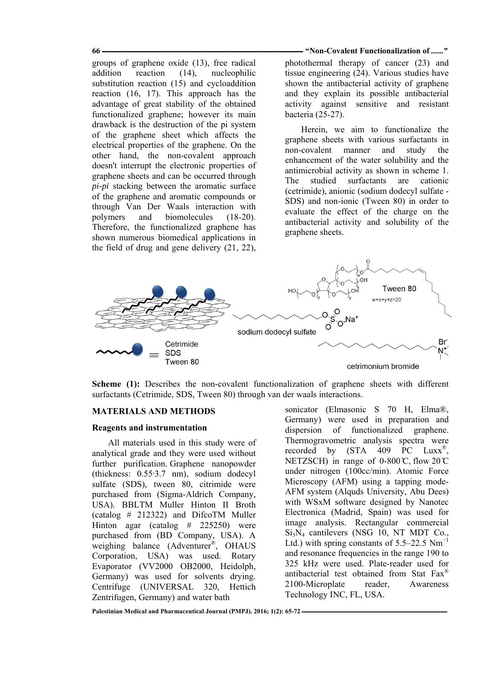**66 "Non-Covalent Functionalization of ـــــــــــــــــــــــــــــــــــــــــــــــــــــــــــــــــــــــــــــــــــــــــــــــــــــــــــــــــــــــــــــ** *......"*

groups of graphene oxide (13), free radical addition reaction (14), nucleophilic substitution reaction (15) and cycloaddition reaction (16, 17). This approach has the advantage of great stability of the obtained functionalized graphene; however its main drawback is the destruction of the pi system of the graphene sheet which affects the electrical properties of the graphene. On the other hand, the non-covalent approach doesn't interrupt the electronic properties of graphene sheets and can be occurred through *pi-pi* stacking between the aromatic surface of the graphene and aromatic compounds or through Van Der Waals interaction with polymers and biomolecules (18-20). Therefore, the functionalized graphene has shown numerous biomedical applications in the field of drug and gene delivery (21, 22),

photothermal therapy of cancer (23) and tissue engineering (24). Various studies have shown the antibacterial activity of graphene and they explain its possible antibacterial activity against sensitive and resistant bacteria (25-27).

Herein, we aim to functionalize the graphene sheets with various surfactants in non-covalent manner and study the enhancement of the water solubility and the antimicrobial activity as shown in scheme 1. The studied surfactants are cationic (cetrimide), anionic (sodium dodecyl sulfate - SDS) and non-ionic (Tween 80) in order to evaluate the effect of the charge on the antibacterial activity and solubility of the graphene sheets.



**Scheme (1):** Describes the non-covalent functionalization of graphene sheets with different surfactants (Cetrimide, SDS, Tween 80) through van der waals interactions.

## **MATERIALS AND METHODS**

#### **Reagents and instrumentation**

All materials used in this study were of analytical grade and they were used without further purification. Graphene nanopowder (thickness: 0.55<sup>-3</sup>.7 nm), sodium dodecyl sulfate (SDS), tween 80, citrimide were purchased from (Sigma-Aldrich Company, USA). BBLTM Muller Hinton II Broth (catalog # 212322) and DifcoTM Muller Hinton agar (catalog # 225250) were purchased from (BD Company, USA). A weighing balance (Adventurer®, OHAUS Corporation, USA) was used. Rotary Evaporator (VV2000 OB2000, Heidolph, Germany) was used for solvents drying. Centrifuge (UNIVERSAL 320, Hettich Zentrifugen, Germany) and water bath

sonicator (Elmasonic S 70 H, Elma®, Germany) were used in preparation and dispersion of functionalized graphene. Thermogravometric analysis spectra were recorded by  $(STA 409 PC Lux<sup>®</sup>)$ NETZSCH) in range of  $0-800 \degree$ C, flow  $20 \degree$ C under nitrogen (100cc/min). Atomic Force Microscopy (AFM) using a tapping mode-AFM system (Alquds University, Abu Dees) with WSxM software designed by Nanotec Electronica (Madrid, Spain) was used for image analysis. Rectangular commercial  $Si<sub>3</sub>N<sub>4</sub>$  cantilevers (NSG 10, NT MDT Co., Ltd.) with spring constants of  $5.5-22.5$  Nm<sup>-1</sup> and resonance frequencies in the range 190 to 325 kHz were used. Plate-reader used for antibacterial test obtained from Stat Fax® 2100-Microplate reader, Awareness Technology INC, FL, USA.

Palestinian Medical and Pharmaceutical Journal (PMPJ), 2016; 1(2): 65-72 -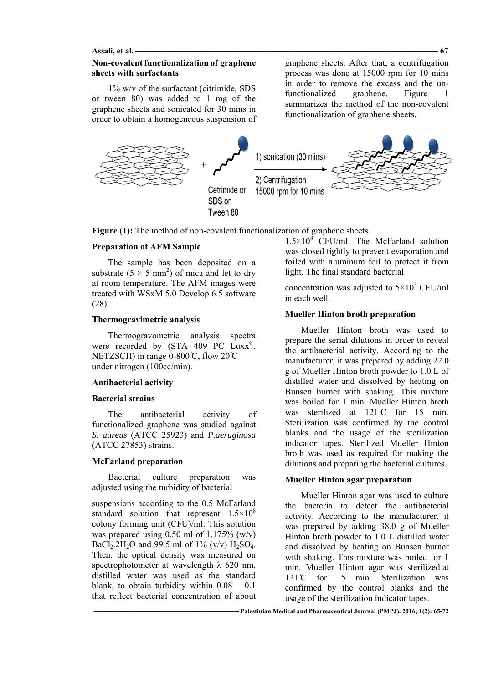**Assali, et al. ــــــــــــــــــــــــــــــــــــــــــــــــــــــــــــــــــــــــــــــــــــــــــــــــــــــــــــــــــــــــــــــــــــــــــــــــــــــــــــــــــــــــــــــــــــــــــــ 67** 

# **Non-covalent functionalization of graphene sheets with surfactants**

1% w/v of the surfactant (citrimide, SDS or tween 80) was added to 1 mg of the graphene sheets and sonicated for 30 mins in order to obtain a homogeneous suspension of graphene sheets. After that, a centrifugation process was done at 15000 rpm for 10 mins in order to remove the excess and the unfunctionalized graphene. Figure 1 summarizes the method of the non-covalent functionalization of graphene sheets.



Figure (1): The method of non-covalent functionalization of graphene sheets.

## **Preparation of AFM Sample**

The sample has been deposited on a substrate  $(5 \times 5 \text{ mm}^2)$  of mica and let to dry at room temperature. The AFM images were treated with WSxM 5.0 Develop 6.5 software (28).

## **Thermogravimetric analysis**

Thermogravometric analysis spectra were recorded by (STA 409 PC Luxx<sup>®</sup>, NETZSCH) in range  $0-800 \text{ C}$ , flow  $20 \text{ C}$ under nitrogen (100cc/min).

#### **Antibacterial activity**

## **Bacterial strains**

The antibacterial activity of functionalized graphene was studied against *S. aureus* (ATCC 25923) and *P.aeruginosa* (ATCC 27853) strains.

## **McFarland preparation**

Bacterial culture preparation was adjusted using the turbidity of bacterial

suspensions according to the 0.5 McFarland standard solution that represent  $1.5 \times 10^8$ colony forming unit (CFU)/ml. This solution was prepared using  $0.50$  ml of  $1.175\%$  (w/v) BaCl<sub>2</sub>.2H<sub>2</sub>O and 99.5 ml of 1% (v/v) H<sub>2</sub>SO<sub>4</sub>. Then, the optical density was measured on spectrophotometer at wavelength  $\lambda$  620 nm. distilled water was used as the standard blank, to obtain turbidity within  $0.08 - 0.1$ that reflect bacterial concentration of about

 $1.5 \times 10^8$  CFU/ml. The McFarland solution was closed tightly to prevent evaporation and foiled with aluminum foil to protect it from light. The final standard bacterial

concentration was adjusted to  $5 \times 10^5$  CFU/ml in each well.

### **Mueller Hinton broth preparation**

Mueller Hinton broth was used to prepare the serial dilutions in order to reveal the antibacterial activity. According to the manufacturer, it was prepared by adding 22.0 g of Mueller Hinton broth powder to 1.0 L of distilled water and dissolved by heating on Bunsen burner with shaking. This mixture was boiled for 1 min. Mueller Hinton broth was sterilized at  $121^{\circ}$  for 15 min. Sterilization was confirmed by the control blanks and the usage of the sterilization indicator tapes. Sterilized Mueller Hinton broth was used as required for making the dilutions and preparing the bacterial cultures.

### **Mueller Hinton agar preparation**

Mueller Hinton agar was used to culture the bacteria to detect the antibacterial activity. According to the manufacturer, it was prepared by adding 38.0 g of Mueller Hinton broth powder to 1.0 L distilled water and dissolved by heating on Bunsen burner with shaking. This mixture was boiled for 1 min. Mueller Hinton agar was sterilized at 121 °C for 15 min. Sterilization was confirmed by the control blanks and the usage of the sterilization indicator tapes.

**ـــــــــــــــــــــــــــــــــــــــــــــــــــــــــــــــــــــــــــــــــــــــــــــــــــــــــــــــــ Palestinian Medical and Pharmaceutical Journal (PMPJ). 2016; 1(2): 65-72**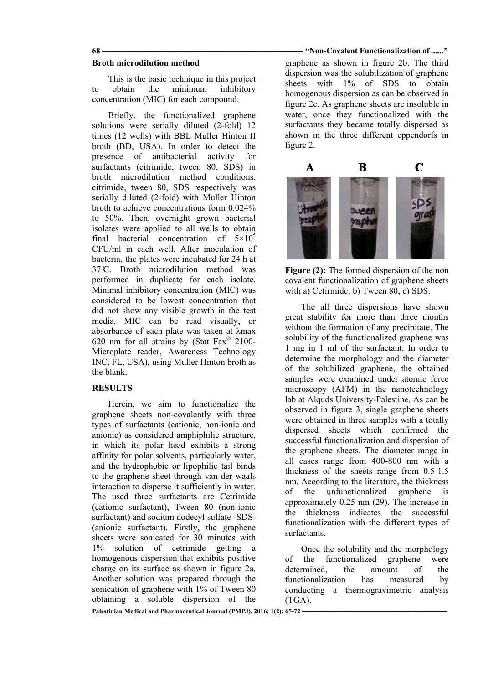### **Broth microdilution method**

This is the basic technique in this project to obtain the minimum inhibitory concentration (MIC) for each compound.

Briefly, the functionalized graphene solutions were serially diluted (2-fold) 12 times (12 wells) with BBL Muller Hinton II broth (BD, USA). In order to detect the presence of antibacterial activity for surfactants (citrimide, tween 80, SDS) in broth microdilution method conditions, citrimide, tween 80, SDS respectively was serially diluted (2-fold) with Muller Hinton broth to achieve concentrations form 0.024% to 50%. Then, overnight grown bacterial isolates were applied to all wells to obtain final bacterial concentration of  $5\times10^5$ CFU/ml in each well. After inoculation of bacteria, the plates were incubated for 24 h at 37<sup>°</sup>C. Broth microdilution method was performed in duplicate for each isolate. Minimal inhibitory concentration (MIC) was considered to be lowest concentration that did not show any visible growth in the test media. MIC can be read visually, or absorbance of each plate was taken at λmax 620 nm for all strains by (Stat Fax® 2100- Microplate reader, Awareness Technology INC, FL, USA), using Muller Hinton broth as the blank.

# **RESULTS**

Herein, we aim to functionalize the graphene sheets non-covalently with three types of surfactants (cationic, non-ionic and anionic) as considered amphiphilic structure, in which its polar head exhibits a strong affinity for polar solvents, particularly water, and the hydrophobic or lipophilic tail binds to the graphene sheet through van der waals interaction to disperse it sufficiently in water. The used three surfactants are Cetrimide (cationic surfactant), Tween 80 (non-ionic surfactant) and sodium dodecyl sulfate -SDS- (anionic surfactant). Firstly, the graphene sheets were sonicated for 30 minutes with 1% solution of cetrimide getting a homogenous dispersion that exhibits positive charge on its surface as shown in figure 2a. Another solution was prepared through the sonication of graphene with 1% of Tween 80 obtaining a soluble dispersion of the

#### **68 "Non-Covalent Functionalization of ـــــــــــــــــــــــــــــــــــــــــــــــــــــــــــــــــــــــــــــــــــــــــــــــــــــــــــــــــــــــــــــ** *......"*

graphene as shown in figure 2b. The third dispersion was the solubilization of graphene sheets with 1% of SDS to obtain homogenous dispersion as can be observed in figure 2c. As graphene sheets are insoluble in water, once they functionalized with the surfactants they became totally dispersed as shown in the three different eppendorfs in figure 2.



**Figure (2):** The formed dispersion of the non covalent functionalization of graphene sheets with a) Cetirmide; b) Tween 80; c) SDS.

The all three dispersions have shown great stability for more than three months without the formation of any precipitate. The solubility of the functionalized graphene was 1 mg in 1 ml of the surfactant. In order to determine the morphology and the diameter of the solubilized graphene, the obtained samples were examined under atomic force microscopy (AFM) in the nanotechnology lab at Alquds University-Palestine. As can be observed in figure 3, single graphene sheets were obtained in three samples with a totally dispersed sheets which confirmed the successful functionalization and dispersion of the graphene sheets. The diameter range in all cases range from 400-800 nm with a thickness of the sheets range from 0.5-1.5 nm. According to the literature, the thickness of the unfunctionalized graphene is approximately 0.25 nm (29). The increase in the thickness indicates the successful functionalization with the different types of surfactants.

Once the solubility and the morphology of the functionalized graphene were determined, the amount of the functionalization has measured by conducting a thermogravimetric analysis (TGA).

Palestinian Medical and Pharmaceutical Journal (PMPJ). 2016: 1(2): 65-72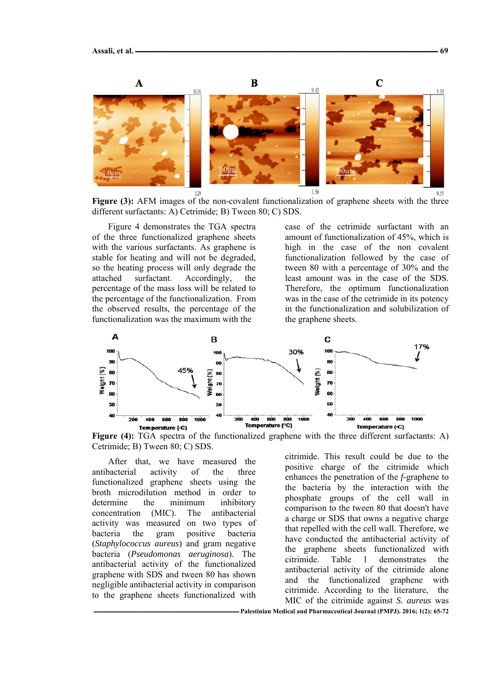

**Figure (3):** AFM images of the non-covalent functionalization of graphene sheets with the three different surfactants: A) Cetrimide; B) Tween 80; C) SDS.

Figure 4 demonstrates the TGA spectra of the three functionalized graphene sheets with the various surfactants. As graphene is stable for heating and will not be degraded, so the heating process will only degrade the attached surfactant. Accordingly, the percentage of the mass loss will be related to the percentage of the functionalization. From the observed results, the percentage of the functionalization was the maximum with the

case of the cetrimide surfactant with an amount of functionalization of 45%, which is high in the case of the non covalent functionalization followed by the case of tween 80 with a percentage of 30% and the least amount was in the case of the SDS. Therefore, the optimum functionalization was in the case of the cetrimide in its potency in the functionalization and solubilization of the graphene sheets.



**Figure (4):** TGA spectra of the functionalized graphene with the three different surfactants: A) Cetrimide; B) Tween 80; C) SDS.

After that, we have measured the antibacterial activity of the three functionalized graphene sheets using the broth microdilution method in order to determine the minimum inhibitory concentration (MIC). The antibacterial activity was measured on two types of bacteria the gram positive bacteria (*Staphylococcus aureus*) and gram negative bacteria (*Pseudomonas aeruginosa*). The antibacterial activity of the functionalized graphene with SDS and tween 80 has shown negligible antibacterial activity in comparison to the graphene sheets functionalized with

citrimide. This result could be due to the positive charge of the citrimide which enhances the penetration of the *f*-graphene to the bacteria by the interaction with the phosphate groups of the cell wall in comparison to the tween 80 that doesn't have a charge or SDS that owns a negative charge that repelled with the cell wall. Therefore, we have conducted the antibacterial activity of the graphene sheets functionalized with citrimide. Table 1 demonstrates the antibacterial activity of the citrimide alone and the functionalized graphene with citrimide. According to the literature, the MIC of the citrimide against *S. aureus* was

**ـــــــــــــــــــــــــــــــــــــــــــــــــــــــــــــــــــــــــــــــــــــــــــــــــــــــــــــــــ Palestinian Medical and Pharmaceutical Journal (PMPJ). 2016; 1(2): 65-72**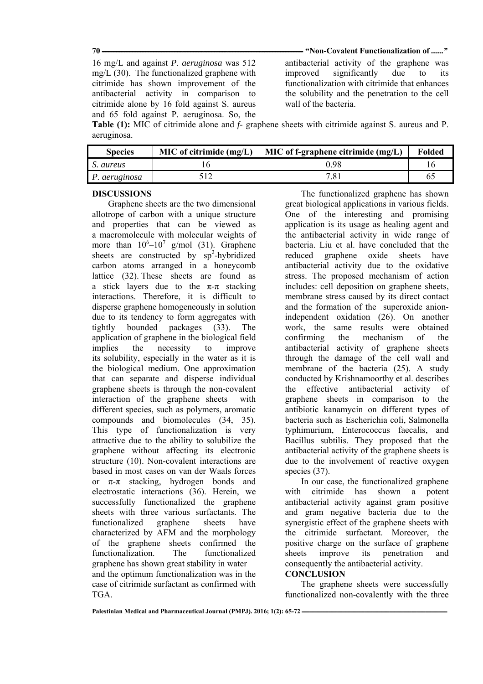**70 "Non-Covalent Functionalization of ـــــــــــــــــــــــــــــــــــــــــــــــــــــــــــــــــــــــــــــــــــــــــــــــــــــــــــــــــــــــــــــ** *......"*

16 mg/L and against *P. aeruginosa* was 512 mg/L (30). The functionalized graphene with citrimide has shown improvement of the antibacterial activity in comparison to citrimide alone by 16 fold against S. aureus and 65 fold against P. aeruginosa. So, the antibacterial activity of the graphene was improved significantly due to its functionalization with citrimide that enhances the solubility and the penetration to the cell wall of the bacteria.

**Table (1):** MIC of citrimide alone and *f*- graphene sheets with citrimide against S. aureus and P. aeruginosa.

| <b>Species</b> | MIC of cirrimide (mg/L) | MIC of f-graphene citrimide $(mg/L)$ | <b>Folded</b> |
|----------------|-------------------------|--------------------------------------|---------------|
| S. aureus      |                         | ) 98                                 | l6            |
| P. aeruginosa  |                         | 7.81                                 | 65            |

## **DISCUSSIONS**

Graphene sheets are the two dimensional allotrope of carbon with a unique structure and properties that can be viewed as a macromolecule with molecular weights of more than  $10^6 - 10^7$  g/mol (31). Graphene sheets are constructed by  $sp^2$ -hybridized carbon atoms arranged in a honeycomb lattice (32). These sheets are found as a stick layers due to the  $\pi-\pi$  stacking interactions. Therefore, it is difficult to disperse graphene homogeneously in solution due to its tendency to form aggregates with tightly bounded packages (33). The application of graphene in the biological field implies the necessity to improve its solubility, especially in the water as it is the biological medium. One approximation that can separate and disperse individual graphene sheets is through the non-covalent interaction of the graphene sheets with different species, such as polymers, aromatic compounds and biomolecules (34, 35). This type of functionalization is very attractive due to the ability to solubilize the graphene without affecting its electronic structure (10). Non-covalent interactions are based in most cases on van der Waals forces or  $\pi$ - $\pi$  stacking, hydrogen bonds and electrostatic interactions (36). Herein, we successfully functionalized the graphene sheets with three various surfactants. The functionalized graphene sheets have characterized by AFM and the morphology of the graphene sheets confirmed the functionalization. The functionalized graphene has shown great stability in water and the optimum functionalization was in the case of citrimide surfactant as confirmed with TGA.

The functionalized graphene has shown great biological applications in various fields. One of the interesting and promising application is its usage as healing agent and the antibacterial activity in wide range of bacteria. Liu et al. have concluded that the reduced graphene oxide sheets have antibacterial activity due to the oxidative stress. The proposed mechanism of action includes: cell deposition on graphene sheets, membrane stress caused by its direct contact and the formation of the superoxide anionindependent oxidation (26). On another work, the same results were obtained confirming the mechanism of the antibacterial activity of graphene sheets through the damage of the cell wall and membrane of the bacteria (25). A study conducted by Krishnamoorthy et al. describes the effective antibacterial activity of graphene sheets in comparison to the antibiotic kanamycin on different types of bacteria such as Escherichia coli, Salmonella typhimurium, Enterococcus faecalis, and Bacillus subtilis. They proposed that the antibacterial activity of the graphene sheets is due to the involvement of reactive oxygen species  $(37)$ .

In our case, the functionalized graphene with citrimide has shown a potent antibacterial activity against gram positive and gram negative bacteria due to the synergistic effect of the graphene sheets with the citrimide surfactant. Moreover, the positive charge on the surface of graphene sheets improve its penetration and consequently the antibacterial activity.

# **CONCLUSION**

The graphene sheets were successfully functionalized non-covalently with the three

Palestinian Medical and Pharmaceutical Journal (PMPJ), 2016; 1(2): 65-72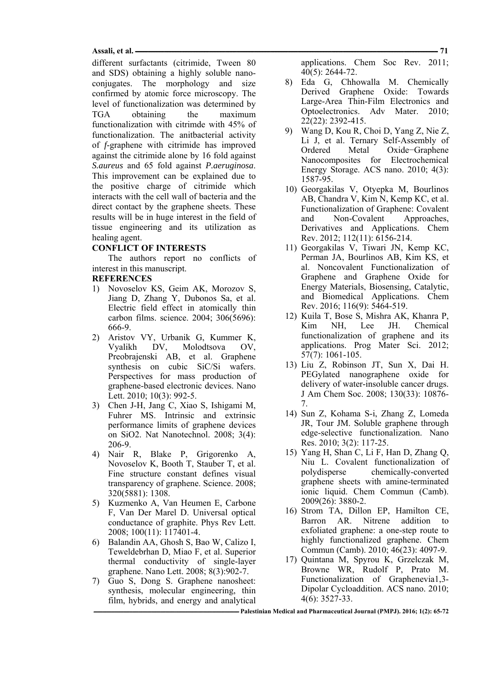#### **Assali, et al. ــــــــــــــــــــــــــــــــــــــــــــــــــــــــــــــــــــــــــــــــــــــــــــــــــــــــــــــــــــــــــــــــــــــــــــــــــــــــــــــــــــــــــــــــــــــــــــ 71**

different surfactants (citrimide, Tween 80 and SDS) obtaining a highly soluble nanoconjugates. The morphology and size confirmed by atomic force microscopy. The level of functionalization was determined by TGA obtaining the maximum functionalization with citrimde with 45% of functionalization. The anitbacterial activity of *f*-graphene with citrimide has improved against the citrimide alone by 16 fold against *S.aureus* and 65 fold against *P.aeruginosa*. This improvement can be explained due to the positive charge of citrimide which interacts with the cell wall of bacteria and the direct contact by the graphene sheets. These results will be in huge interest in the field of tissue engineering and its utilization as healing agent.

## **CONFLICT OF INTERESTS**

The authors report no conflicts of interest in this manuscript.

### **REFERENCES**

- 1) Novoselov KS, Geim AK, Morozov S, Jiang D, Zhang Y, Dubonos Sa, et al. Electric field effect in atomically thin carbon films. science. 2004; 306(5696): 666-9.
- 2) Aristov VY, Urbanik G, Kummer K, Vyalikh DV, Molodtsova OV, Preobrajenski AB, et al. Graphene synthesis on cubic SiC/Si wafers. Perspectives for mass production of graphene-based electronic devices. Nano Lett. 2010; 10(3): 992-5.
- 3) Chen J-H, Jang C, Xiao S, Ishigami M, Fuhrer MS. Intrinsic and extrinsic performance limits of graphene devices on SiO2. Nat Nanotechnol. 2008; 3(4): 206-9.
- 4) Nair R, Blake P, Grigorenko A, Novoselov K, Booth T, Stauber T, et al. Fine structure constant defines visual transparency of graphene. Science. 2008; 320(5881): 1308.
- 5) Kuzmenko A, Van Heumen E, Carbone F, Van Der Marel D. Universal optical conductance of graphite. Phys Rev Lett. 2008; 100(11): 117401-4.
- 6) Balandin AA, Ghosh S, Bao W, Calizo I, Teweldebrhan D, Miao F, et al. Superior thermal conductivity of single-layer graphene. Nano Lett. 2008; 8(3):902-7.
- 7) Guo S, Dong S. Graphene nanosheet: synthesis, molecular engineering, thin film, hybrids, and energy and analytical

applications. Chem Soc Rev. 2011; 40(5): 2644-72.

- 8) Eda G, Chhowalla M. Chemically Derived Graphene Oxide: Towards Large-Area Thin-Film Electronics and Optoelectronics. Adv Mater. 2010; 22(22): 2392-415.
- 9) Wang D, Kou R, Choi D, Yang Z, Nie Z, Li J, et al. Ternary Self-Assembly of Ordered Metal Oxide−Graphene Nanocomposites for Electrochemical Energy Storage. ACS nano. 2010; 4(3): 1587-95.
- 10) Georgakilas V, Otyepka M, Bourlinos AB, Chandra V, Kim N, Kemp KC, et al. Functionalization of Graphene: Covalent and Non-Covalent Approaches, Derivatives and Applications. Chem Rev. 2012; 112(11): 6156-214.
- 11) Georgakilas V, Tiwari JN, Kemp KC, Perman JA, Bourlinos AB, Kim KS, et al. Noncovalent Functionalization of Graphene and Graphene Oxide for Energy Materials, Biosensing, Catalytic, and Biomedical Applications. Chem Rev. 2016; 116(9): 5464-519.
- 12) Kuila T, Bose S, Mishra AK, Khanra P, Kim NH, Lee JH. Chemical functionalization of graphene and its applications. Prog Mater Sci. 2012; 57(7): 1061-105.
- 13) Liu Z, Robinson JT, Sun X, Dai H. PEGylated nanographene oxide for delivery of water-insoluble cancer drugs. J Am Chem Soc. 2008; 130(33): 10876- 7.
- 14) Sun Z, Kohama S-i, Zhang Z, Lomeda JR, Tour JM. Soluble graphene through edge-selective functionalization. Nano Res. 2010; 3(2): 117-25.
- 15) Yang H, Shan C, Li F, Han D, Zhang Q, Niu L. Covalent functionalization of polydisperse chemically-converted graphene sheets with amine-terminated ionic liquid. Chem Commun (Camb). 2009(26): 3880-2.
- 16) Strom TA, Dillon EP, Hamilton CE, Barron AR. Nitrene addition to exfoliated graphene: a one-step route to highly functionalized graphene. Chem Commun (Camb). 2010; 46(23): 4097-9.
- 17) Quintana M, Spyrou K, Grzelczak M, Browne WR, Rudolf P, Prato M. Functionalization of Graphenevia1,3- Dipolar Cycloaddition. ACS nano. 2010; 4(6): 3527-33.

**ـــــــــــــــــــــــــــــــــــــــــــــــــــــــــــــــــــــــــــــــــــــــــــــــــــــــــــــــــ Palestinian Medical and Pharmaceutical Journal (PMPJ). 2016; 1(2): 65-72**